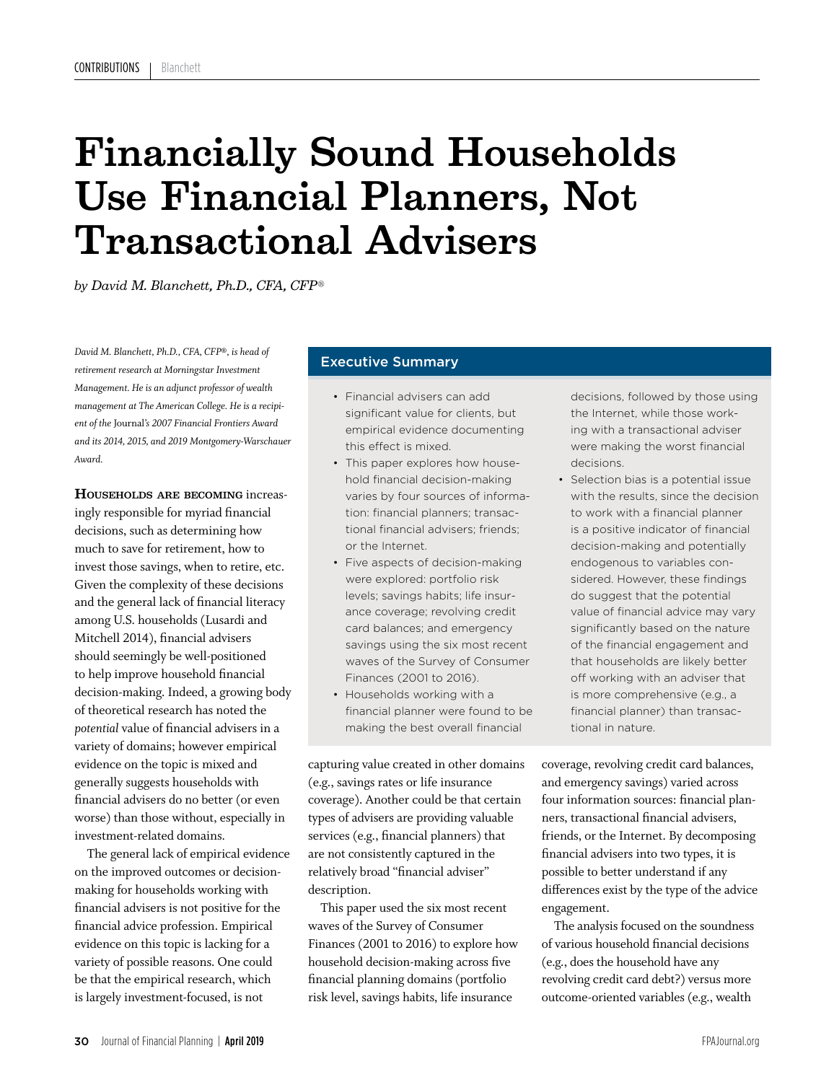# Financially Sound Households Use Financial Planners, Not Transactional Advisers

*by David M. Blanchett, Ph.D., CFA, CFP®*

*David M. Blanchett, Ph.D., CFA, CFP®, is head of retirement research at Morningstar Investment Management. He is an adjunct professor of wealth management at The American College. He is a recipient of the* Journal*'s 2007 Financial Frontiers Award and its 2014, 2015, and 2019 Montgomery-Warschauer Award.*

Households are becoming increasingly responsible for myriad financial decisions, such as determining how much to save for retirement, how to invest those savings, when to retire, etc. Given the complexity of these decisions and the general lack of financial literacy among U.S. households (Lusardi and Mitchell 2014), financial advisers should seemingly be well-positioned to help improve household financial decision-making. Indeed, a growing body of theoretical research has noted the *potential* value of financial advisers in a variety of domains; however empirical evidence on the topic is mixed and generally suggests households with financial advisers do no better (or even worse) than those without, especially in investment-related domains.

The general lack of empirical evidence on the improved outcomes or decisionmaking for households working with financial advisers is not positive for the financial advice profession. Empirical evidence on this topic is lacking for a variety of possible reasons. One could be that the empirical research, which is largely investment-focused, is not

### Executive Summary

- Financial advisers can add significant value for clients, but empirical evidence documenting this effect is mixed.
- This paper explores how household financial decision-making varies by four sources of information: financial planners; transactional financial advisers; friends; or the Internet.
- Five aspects of decision-making were explored: portfolio risk levels; savings habits; life insurance coverage; revolving credit card balances; and emergency savings using the six most recent waves of the Survey of Consumer Finances (2001 to 2016).
- Households working with a financial planner were found to be making the best overall financial

capturing value created in other domains (e.g., savings rates or life insurance coverage). Another could be that certain types of advisers are providing valuable services (e.g., financial planners) that are not consistently captured in the relatively broad "financial adviser" description.

This paper used the six most recent waves of the Survey of Consumer Finances (2001 to 2016) to explore how household decision-making across five financial planning domains (portfolio risk level, savings habits, life insurance

decisions, followed by those using the Internet, while those working with a transactional adviser were making the worst financial decisions.

• Selection bias is a potential issue with the results, since the decision to work with a financial planner is a positive indicator of financial decision-making and potentially endogenous to variables considered. However, these findings do suggest that the potential value of financial advice may vary significantly based on the nature of the financial engagement and that households are likely better off working with an adviser that is more comprehensive (e.g., a financial planner) than transactional in nature.

coverage, revolving credit card balances, and emergency savings) varied across four information sources: financial planners, transactional financial advisers, friends, or the Internet. By decomposing financial advisers into two types, it is possible to better understand if any differences exist by the type of the advice engagement.

The analysis focused on the soundness of various household financial decisions (e.g., does the household have any revolving credit card debt?) versus more outcome-oriented variables (e.g., wealth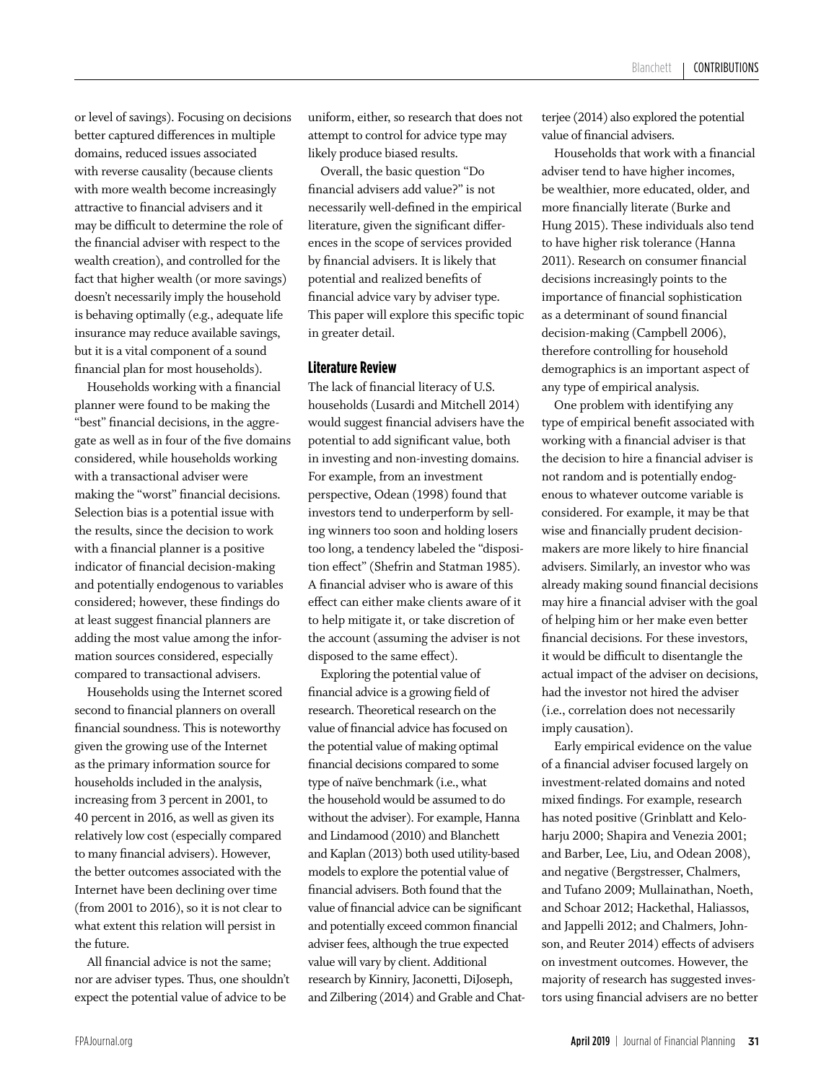or level of savings). Focusing on decisions better captured differences in multiple domains, reduced issues associated with reverse causality (because clients with more wealth become increasingly attractive to financial advisers and it may be difficult to determine the role of the financial adviser with respect to the wealth creation), and controlled for the fact that higher wealth (or more savings) doesn't necessarily imply the household is behaving optimally (e.g., adequate life insurance may reduce available savings, but it is a vital component of a sound financial plan for most households).

Households working with a financial planner were found to be making the "best" financial decisions, in the aggregate as well as in four of the five domains considered, while households working with a transactional adviser were making the "worst" financial decisions. Selection bias is a potential issue with the results, since the decision to work with a financial planner is a positive indicator of financial decision-making and potentially endogenous to variables considered; however, these findings do at least suggest financial planners are adding the most value among the information sources considered, especially compared to transactional advisers.

Households using the Internet scored second to financial planners on overall financial soundness. This is noteworthy given the growing use of the Internet as the primary information source for households included in the analysis, increasing from 3 percent in 2001, to 40 percent in 2016, as well as given its relatively low cost (especially compared to many financial advisers). However, the better outcomes associated with the Internet have been declining over time (from 2001 to 2016), so it is not clear to what extent this relation will persist in the future.

All financial advice is not the same; nor are adviser types. Thus, one shouldn't expect the potential value of advice to be

uniform, either, so research that does not attempt to control for advice type may likely produce biased results.

Overall, the basic question "Do financial advisers add value?" is not necessarily well-defined in the empirical literature, given the significant differences in the scope of services provided by financial advisers. It is likely that potential and realized benefits of financial advice vary by adviser type. This paper will explore this specific topic in greater detail.

### **Literature Review**

The lack of financial literacy of U.S. households (Lusardi and Mitchell 2014) would suggest financial advisers have the potential to add significant value, both in investing and non-investing domains. For example, from an investment perspective, Odean (1998) found that investors tend to underperform by selling winners too soon and holding losers too long, a tendency labeled the "disposition effect" (Shefrin and Statman 1985). A financial adviser who is aware of this effect can either make clients aware of it to help mitigate it, or take discretion of the account (assuming the adviser is not disposed to the same effect).

Exploring the potential value of financial advice is a growing field of research. Theoretical research on the value of financial advice has focused on the potential value of making optimal financial decisions compared to some type of naïve benchmark (i.e., what the household would be assumed to do without the adviser). For example, Hanna and Lindamood (2010) and Blanchett and Kaplan (2013) both used utility-based models to explore the potential value of financial advisers. Both found that the value of financial advice can be significant and potentially exceed common financial adviser fees, although the true expected value will vary by client. Additional research by Kinniry, Jaconetti, DiJoseph, and Zilbering (2014) and Grable and Chatterjee (2014) also explored the potential value of financial advisers.

Households that work with a financial adviser tend to have higher incomes, be wealthier, more educated, older, and more financially literate (Burke and Hung 2015). These individuals also tend to have higher risk tolerance (Hanna 2011). Research on consumer financial decisions increasingly points to the importance of financial sophistication as a determinant of sound financial decision-making (Campbell 2006), therefore controlling for household demographics is an important aspect of any type of empirical analysis.

One problem with identifying any type of empirical benefit associated with working with a financial adviser is that the decision to hire a financial adviser is not random and is potentially endogenous to whatever outcome variable is considered. For example, it may be that wise and financially prudent decisionmakers are more likely to hire financial advisers. Similarly, an investor who was already making sound financial decisions may hire a financial adviser with the goal of helping him or her make even better financial decisions. For these investors, it would be difficult to disentangle the actual impact of the adviser on decisions, had the investor not hired the adviser (i.e., correlation does not necessarily imply causation).

Early empirical evidence on the value of a financial adviser focused largely on investment-related domains and noted mixed findings. For example, research has noted positive (Grinblatt and Keloharju 2000; Shapira and Venezia 2001; and Barber, Lee, Liu, and Odean 2008), and negative (Bergstresser, Chalmers, and Tufano 2009; Mullainathan, Noeth, and Schoar 2012; Hackethal, Haliassos, and Jappelli 2012; and Chalmers, Johnson, and Reuter 2014) effects of advisers on investment outcomes. However, the majority of research has suggested investors using financial advisers are no better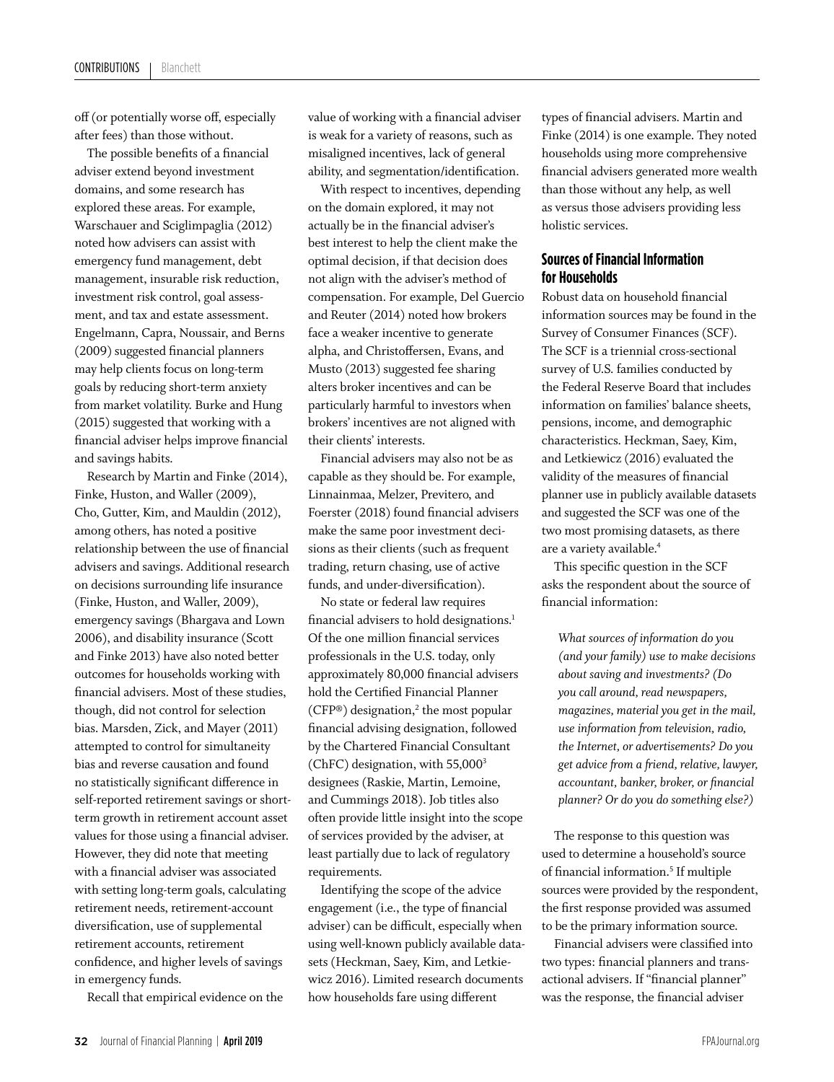off (or potentially worse off, especially after fees) than those without.

The possible benefits of a financial adviser extend beyond investment domains, and some research has explored these areas. For example, Warschauer and Sciglimpaglia (2012) noted how advisers can assist with emergency fund management, debt management, insurable risk reduction, investment risk control, goal assessment, and tax and estate assessment. Engelmann, Capra, Noussair, and Berns (2009) suggested financial planners may help clients focus on long-term goals by reducing short-term anxiety from market volatility. Burke and Hung (2015) suggested that working with a financial adviser helps improve financial and savings habits.

Research by Martin and Finke (2014), Finke, Huston, and Waller (2009), Cho, Gutter, Kim, and Mauldin (2012), among others, has noted a positive relationship between the use of financial advisers and savings. Additional research on decisions surrounding life insurance (Finke, Huston, and Waller, 2009), emergency savings (Bhargava and Lown 2006), and disability insurance (Scott and Finke 2013) have also noted better outcomes for households working with financial advisers. Most of these studies, though, did not control for selection bias. Marsden, Zick, and Mayer (2011) attempted to control for simultaneity bias and reverse causation and found no statistically significant difference in self-reported retirement savings or shortterm growth in retirement account asset values for those using a financial adviser. However, they did note that meeting with a financial adviser was associated with setting long-term goals, calculating retirement needs, retirement-account diversification, use of supplemental retirement accounts, retirement confidence, and higher levels of savings in emergency funds.

Recall that empirical evidence on the

value of working with a financial adviser is weak for a variety of reasons, such as misaligned incentives, lack of general ability, and segmentation/identification.

With respect to incentives, depending on the domain explored, it may not actually be in the financial adviser's best interest to help the client make the optimal decision, if that decision does not align with the adviser's method of compensation. For example, Del Guercio and Reuter (2014) noted how brokers face a weaker incentive to generate alpha, and Christoffersen, Evans, and Musto (2013) suggested fee sharing alters broker incentives and can be particularly harmful to investors when brokers' incentives are not aligned with their clients' interests.

Financial advisers may also not be as capable as they should be. For example, Linnainmaa, Melzer, Previtero, and Foerster (2018) found financial advisers make the same poor investment decisions as their clients (such as frequent trading, return chasing, use of active funds, and under-diversification).

No state or federal law requires financial advisers to hold designations.<sup>1</sup> Of the one million financial services professionals in the U.S. today, only approximately 80,000 financial advisers hold the Certified Financial Planner (CFP<sup>®</sup>) designation,<sup>2</sup> the most popular financial advising designation, followed by the Chartered Financial Consultant  $(ChFC)$  designation, with  $55,000^3$ designees (Raskie, Martin, Lemoine, and Cummings 2018). Job titles also often provide little insight into the scope of services provided by the adviser, at least partially due to lack of regulatory requirements.

Identifying the scope of the advice engagement (i.e., the type of financial adviser) can be difficult, especially when using well-known publicly available datasets (Heckman, Saey, Kim, and Letkiewicz 2016). Limited research documents how households fare using different

types of financial advisers. Martin and Finke (2014) is one example. They noted households using more comprehensive financial advisers generated more wealth than those without any help, as well as versus those advisers providing less holistic services.

### **Sources of Financial Information for Households**

Robust data on household financial information sources may be found in the Survey of Consumer Finances (SCF). The SCF is a triennial cross-sectional survey of U.S. families conducted by the Federal Reserve Board that includes information on families' balance sheets, pensions, income, and demographic characteristics. Heckman, Saey, Kim, and Letkiewicz (2016) evaluated the validity of the measures of financial planner use in publicly available datasets and suggested the SCF was one of the two most promising datasets, as there are a variety available.<sup>4</sup>

This specific question in the SCF asks the respondent about the source of financial information:

*What sources of information do you (and your family) use to make decisions about saving and investments? (Do you call around, read newspapers, magazines, material you get in the mail, use information from television, radio, the Internet, or advertisements? Do you get advice from a friend, relative, lawyer, accountant, banker, broker, or financial planner? Or do you do something else?)*

The response to this question was used to determine a household's source of financial information.<sup>5</sup> If multiple sources were provided by the respondent, the first response provided was assumed to be the primary information source.

Financial advisers were classified into two types: financial planners and transactional advisers. If "financial planner" was the response, the financial adviser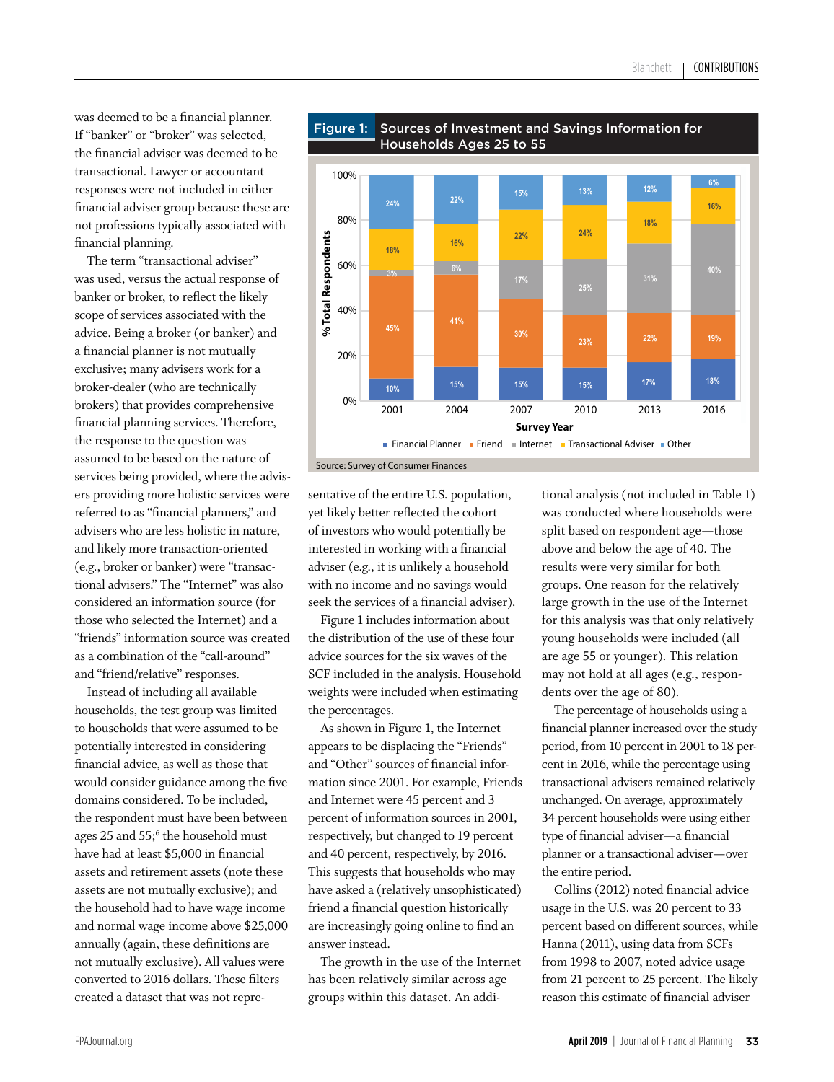was deemed to be a financial planner. If "banker" or "broker" was selected, the financial adviser was deemed to be transactional. Lawyer or accountant responses were not included in either financial adviser group because these are not professions typically associated with financial planning.

The term "transactional adviser" was used, versus the actual response of banker or broker, to reflect the likely scope of services associated with the advice. Being a broker (or banker) and a financial planner is not mutually exclusive; many advisers work for a broker-dealer (who are technically brokers) that provides comprehensive financial planning services. Therefore, the response to the question was assumed to be based on the nature of services being provided, where the advisers providing more holistic services were referred to as "financial planners," and advisers who are less holistic in nature, and likely more transaction-oriented (e.g., broker or banker) were "transactional advisers." The "Internet" was also considered an information source (for those who selected the Internet) and a "friends" information source was created as a combination of the "call-around" and "friend/relative" responses.

Instead of including all available households, the test group was limited to households that were assumed to be potentially interested in considering financial advice, as well as those that would consider guidance among the five domains considered. To be included, the respondent must have been between ages 25 and 55;<sup>6</sup> the household must have had at least \$5,000 in financial assets and retirement assets (note these assets are not mutually exclusive); and the household had to have wage income and normal wage income above \$25,000 annually (again, these definitions are not mutually exclusive). All values were converted to 2016 dollars. These filters created a dataset that was not repre-



sentative of the entire U.S. population, yet likely better reflected the cohort of investors who would potentially be interested in working with a financial adviser (e.g., it is unlikely a household with no income and no savings would seek the services of a financial adviser).

Figure 1 includes information about the distribution of the use of these four advice sources for the six waves of the SCF included in the analysis. Household weights were included when estimating the percentages.

As shown in Figure 1, the Internet appears to be displacing the "Friends" and "Other" sources of financial information since 2001. For example, Friends and Internet were 45 percent and 3 percent of information sources in 2001, respectively, but changed to 19 percent and 40 percent, respectively, by 2016. This suggests that households who may have asked a (relatively unsophisticated) friend a financial question historically are increasingly going online to find an answer instead.

The growth in the use of the Internet has been relatively similar across age groups within this dataset. An additional analysis (not included in Table 1) was conducted where households were split based on respondent age—those above and below the age of 40. The results were very similar for both groups. One reason for the relatively large growth in the use of the Internet for this analysis was that only relatively young households were included (all are age 55 or younger). This relation may not hold at all ages (e.g., respondents over the age of 80).

The percentage of households using a financial planner increased over the study period, from 10 percent in 2001 to 18 percent in 2016, while the percentage using transactional advisers remained relatively unchanged. On average, approximately 34 percent households were using either type of financial adviser—a financial planner or a transactional adviser—over the entire period.

Collins (2012) noted financial advice usage in the U.S. was 20 percent to 33 percent based on different sources, while Hanna (2011), using data from SCFs from 1998 to 2007, noted advice usage from 21 percent to 25 percent. The likely reason this estimate of financial adviser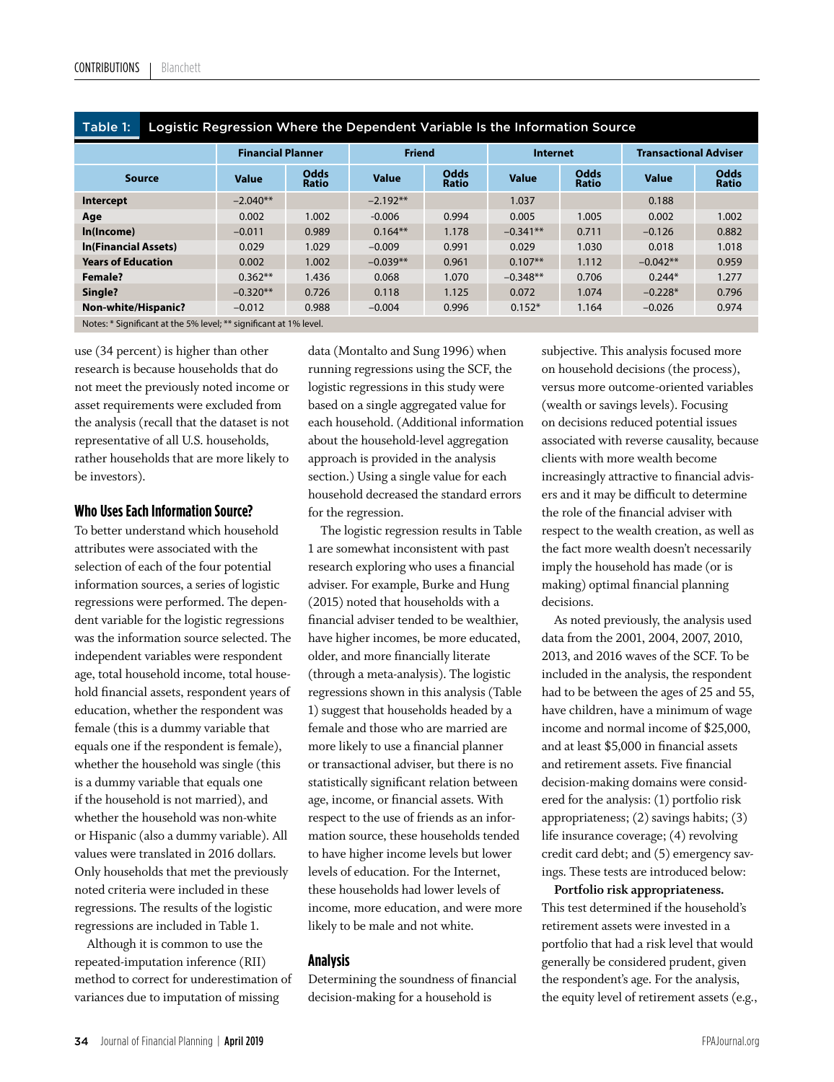| Table 1:<br>Logistic Regression Where the Dependent Variable Is the Information Source |  |                          |                             |               |               |                 |                             |                              |                      |
|----------------------------------------------------------------------------------------|--|--------------------------|-----------------------------|---------------|---------------|-----------------|-----------------------------|------------------------------|----------------------|
|                                                                                        |  | <b>Financial Planner</b> |                             | <b>Friend</b> |               | <b>Internet</b> |                             | <b>Transactional Adviser</b> |                      |
| <b>Source</b>                                                                          |  | Value                    | <b>Odds</b><br><b>Ratio</b> | <b>Value</b>  | Odds<br>Ratio | <b>Value</b>    | <b>Odds</b><br><b>Ratio</b> | <b>Value</b>                 | <b>Odds</b><br>Ratio |
| <b>Intercept</b>                                                                       |  | $-2.040**$               |                             | $-2.192**$    |               | 1.037           |                             | 0.188                        |                      |
| Age                                                                                    |  | 0.002                    | 1.002                       | $-0.006$      | 0.994         | 0.005           | 1.005                       | 0.002                        | 1.002                |
| In(Income)                                                                             |  | $-0.011$                 | 0.989                       | $0.164**$     | 1.178         | $-0.341**$      | 0.711                       | $-0.126$                     | 0.882                |
| <b>In(Financial Assets)</b>                                                            |  | 0.029                    | 1.029                       | $-0.009$      | 0.991         | 0.029           | 1.030                       | 0.018                        | 1.018                |
| <b>Years of Education</b>                                                              |  | 0.002                    | 1.002                       | $-0.039**$    | 0.961         | $0.107**$       | 1.112                       | $-0.042**$                   | 0.959                |
| Female?                                                                                |  | $0.362**$                | 1.436                       | 0.068         | 1.070         | $-0.348**$      | 0.706                       | $0.244*$                     | 1.277                |
| Single?                                                                                |  | $-0.320**$               | 0.726                       | 0.118         | 1.125         | 0.072           | 1.074                       | $-0.228*$                    | 0.796                |
| Non-white/Hispanic?                                                                    |  | $-0.012$                 | 0.988                       | $-0.004$      | 0.996         | $0.152*$        | 1.164                       | $-0.026$                     | 0.974                |

### Logistic Regression Where the Dependent Variable Is the Information Source

Notes: \* Significant at the 5% level; \*\* significant at 1% level.

use (34 percent) is higher than other research is because households that do not meet the previously noted income or asset requirements were excluded from the analysis (recall that the dataset is not representative of all U.S. households, rather households that are more likely to be investors).

### **Who Uses Each Information Source?**

To better understand which household attributes were associated with the selection of each of the four potential information sources, a series of logistic regressions were performed. The dependent variable for the logistic regressions was the information source selected. The independent variables were respondent age, total household income, total household financial assets, respondent years of education, whether the respondent was female (this is a dummy variable that equals one if the respondent is female), whether the household was single (this is a dummy variable that equals one if the household is not married), and whether the household was non-white or Hispanic (also a dummy variable). All values were translated in 2016 dollars. Only households that met the previously noted criteria were included in these regressions. The results of the logistic regressions are included in Table 1.

Although it is common to use the repeated-imputation inference (RII) method to correct for underestimation of variances due to imputation of missing

data (Montalto and Sung 1996) when running regressions using the SCF, the logistic regressions in this study were based on a single aggregated value for each household. (Additional information about the household-level aggregation approach is provided in the analysis section.) Using a single value for each household decreased the standard errors for the regression.

The logistic regression results in Table 1 are somewhat inconsistent with past research exploring who uses a financial adviser. For example, Burke and Hung (2015) noted that households with a financial adviser tended to be wealthier, have higher incomes, be more educated, older, and more financially literate (through a meta-analysis). The logistic regressions shown in this analysis (Table 1) suggest that households headed by a female and those who are married are more likely to use a financial planner or transactional adviser, but there is no statistically significant relation between age, income, or financial assets. With respect to the use of friends as an information source, these households tended to have higher income levels but lower levels of education. For the Internet, these households had lower levels of income, more education, and were more likely to be male and not white.

### **Analysis**

Determining the soundness of financial decision-making for a household is

subjective. This analysis focused more on household decisions (the process), versus more outcome-oriented variables (wealth or savings levels). Focusing on decisions reduced potential issues associated with reverse causality, because clients with more wealth become increasingly attractive to financial advisers and it may be difficult to determine the role of the financial adviser with respect to the wealth creation, as well as the fact more wealth doesn't necessarily imply the household has made (or is making) optimal financial planning decisions.

As noted previously, the analysis used data from the 2001, 2004, 2007, 2010, 2013, and 2016 waves of the SCF. To be included in the analysis, the respondent had to be between the ages of 25 and 55, have children, have a minimum of wage income and normal income of \$25,000, and at least \$5,000 in financial assets and retirement assets. Five financial decision-making domains were considered for the analysis: (1) portfolio risk appropriateness; (2) savings habits; (3) life insurance coverage; (4) revolving credit card debt; and (5) emergency savings. These tests are introduced below:

**Portfolio risk appropriateness.** This test determined if the household's retirement assets were invested in a portfolio that had a risk level that would generally be considered prudent, given the respondent's age. For the analysis, the equity level of retirement assets (e.g.,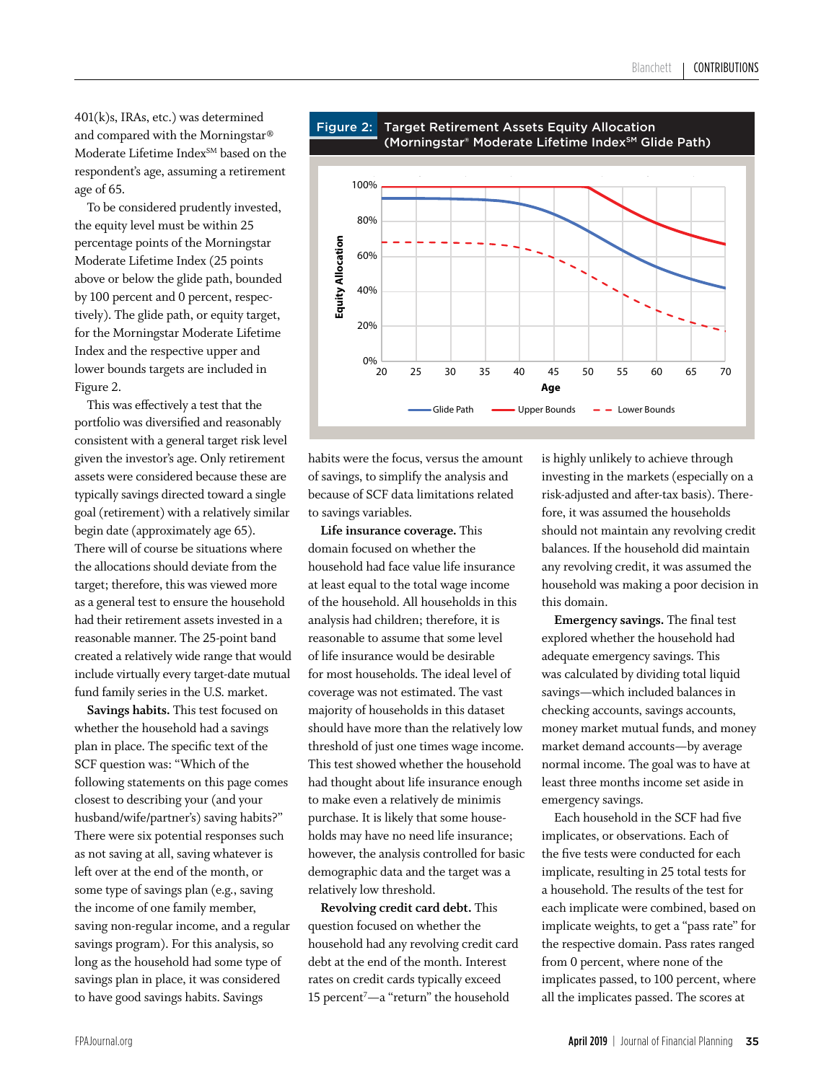401(k)s, IRAs, etc.) was determined and compared with the Morningstar® Moderate Lifetime Index<sup>SM</sup> based on the respondent's age, assuming a retirement age of 65.

To be considered prudently invested, the equity level must be within 25 percentage points of the Morningstar Moderate Lifetime Index (25 points above or below the glide path, bounded by 100 percent and 0 percent, respectively). The glide path, or equity target, for the Morningstar Moderate Lifetime Index and the respective upper and lower bounds targets are included in Figure 2.

This was effectively a test that the portfolio was diversified and reasonably consistent with a general target risk level given the investor's age. Only retirement assets were considered because these are typically savings directed toward a single goal (retirement) with a relatively similar begin date (approximately age 65). There will of course be situations where the allocations should deviate from the target; therefore, this was viewed more as a general test to ensure the household had their retirement assets invested in a reasonable manner. The 25-point band created a relatively wide range that would include virtually every target-date mutual fund family series in the U.S. market.

**Savings habits.** This test focused on whether the household had a savings plan in place. The specific text of the SCF question was: "Which of the following statements on this page comes closest to describing your (and your husband/wife/partner's) saving habits?" There were six potential responses such as not saving at all, saving whatever is left over at the end of the month, or some type of savings plan (e.g., saving the income of one family member, saving non-regular income, and a regular savings program). For this analysis, so long as the household had some type of savings plan in place, it was considered to have good savings habits. Savings



habits were the focus, versus the amount of savings, to simplify the analysis and because of SCF data limitations related to savings variables.

**Life insurance coverage.** This domain focused on whether the household had face value life insurance at least equal to the total wage income of the household. All households in this analysis had children; therefore, it is reasonable to assume that some level of life insurance would be desirable for most households. The ideal level of coverage was not estimated. The vast majority of households in this dataset should have more than the relatively low threshold of just one times wage income. This test showed whether the household had thought about life insurance enough to make even a relatively de minimis purchase. It is likely that some households may have no need life insurance; however, the analysis controlled for basic demographic data and the target was a relatively low threshold.

**Revolving credit card debt.** This question focused on whether the household had any revolving credit card debt at the end of the month. Interest rates on credit cards typically exceed 15 percent<sup>7</sup>—a "return" the household

is highly unlikely to achieve through investing in the markets (especially on a risk-adjusted and after-tax basis). Therefore, it was assumed the households should not maintain any revolving credit balances. If the household did maintain any revolving credit, it was assumed the household was making a poor decision in this domain.

**Emergency savings.** The final test explored whether the household had adequate emergency savings. This was calculated by dividing total liquid savings—which included balances in checking accounts, savings accounts, money market mutual funds, and money market demand accounts—by average normal income. The goal was to have at least three months income set aside in emergency savings.

Each household in the SCF had five implicates, or observations. Each of the five tests were conducted for each implicate, resulting in 25 total tests for a household. The results of the test for each implicate were combined, based on implicate weights, to get a "pass rate" for the respective domain. Pass rates ranged from 0 percent, where none of the implicates passed, to 100 percent, where all the implicates passed. The scores at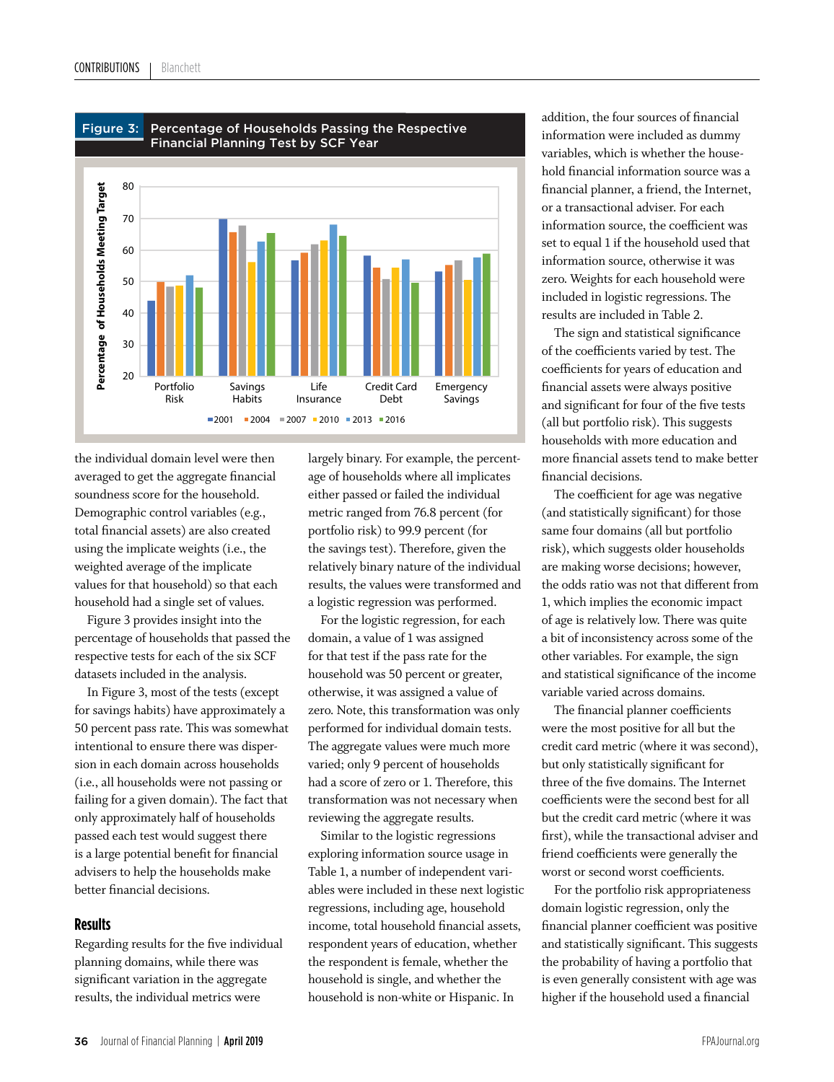

the individual domain level were then averaged to get the aggregate financial soundness score for the household. Demographic control variables (e.g., total financial assets) are also created using the implicate weights (i.e., the weighted average of the implicate values for that household) so that each household had a single set of values.

Figure 3 provides insight into the percentage of households that passed the respective tests for each of the six SCF datasets included in the analysis.

In Figure 3, most of the tests (except for savings habits) have approximately a 50 percent pass rate. This was somewhat intentional to ensure there was dispersion in each domain across households (i.e., all households were not passing or failing for a given domain). The fact that only approximately half of households passed each test would suggest there is a large potential benefit for financial advisers to help the households make better financial decisions.

### **Results**

Regarding results for the five individual planning domains, while there was significant variation in the aggregate results, the individual metrics were

largely binary. For example, the percentage of households where all implicates either passed or failed the individual metric ranged from 76.8 percent (for portfolio risk) to 99.9 percent (for the savings test). Therefore, given the relatively binary nature of the individual results, the values were transformed and a logistic regression was performed.

For the logistic regression, for each domain, a value of 1 was assigned for that test if the pass rate for the household was 50 percent or greater, otherwise, it was assigned a value of zero. Note, this transformation was only performed for individual domain tests. The aggregate values were much more varied; only 9 percent of households had a score of zero or 1. Therefore, this transformation was not necessary when reviewing the aggregate results.

Similar to the logistic regressions exploring information source usage in Table 1, a number of independent variables were included in these next logistic regressions, including age, household income, total household financial assets, respondent years of education, whether the respondent is female, whether the household is single, and whether the household is non-white or Hispanic. In

addition, the four sources of financial information were included as dummy variables, which is whether the household financial information source was a financial planner, a friend, the Internet, or a transactional adviser. For each information source, the coefficient was set to equal 1 if the household used that information source, otherwise it was zero. Weights for each household were included in logistic regressions. The results are included in Table 2.

The sign and statistical significance of the coefficients varied by test. The coefficients for years of education and financial assets were always positive and significant for four of the five tests (all but portfolio risk). This suggests households with more education and more financial assets tend to make better financial decisions.

The coefficient for age was negative (and statistically significant) for those same four domains (all but portfolio risk), which suggests older households are making worse decisions; however, the odds ratio was not that different from 1, which implies the economic impact of age is relatively low. There was quite a bit of inconsistency across some of the other variables. For example, the sign and statistical significance of the income variable varied across domains.

The financial planner coefficients were the most positive for all but the credit card metric (where it was second), but only statistically significant for three of the five domains. The Internet coefficients were the second best for all but the credit card metric (where it was first), while the transactional adviser and friend coefficients were generally the worst or second worst coefficients.

For the portfolio risk appropriateness domain logistic regression, only the financial planner coefficient was positive and statistically significant. This suggests the probability of having a portfolio that is even generally consistent with age was higher if the household used a financial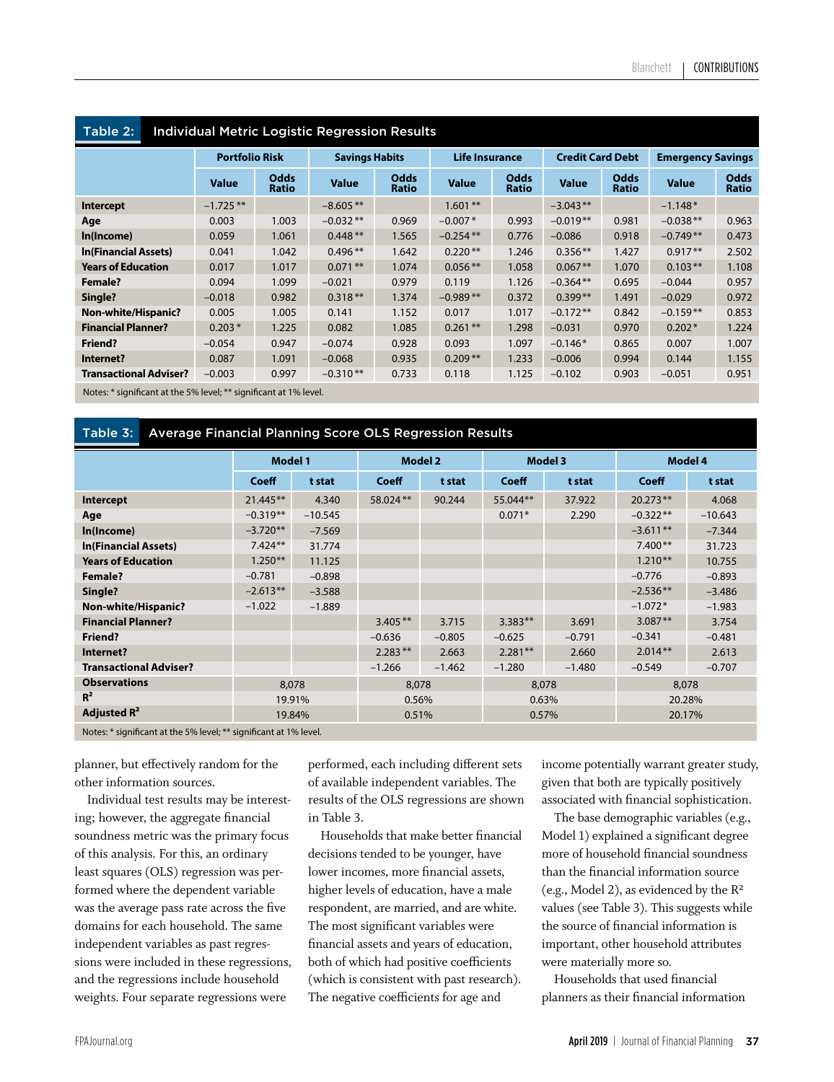| Table 2:                      | Individual Metric Logistic Regression Results |                       |                             |                       |                             |                       |                             |                         |                             |                          |                             |
|-------------------------------|-----------------------------------------------|-----------------------|-----------------------------|-----------------------|-----------------------------|-----------------------|-----------------------------|-------------------------|-----------------------------|--------------------------|-----------------------------|
|                               |                                               | <b>Portfolio Risk</b> |                             | <b>Savings Habits</b> |                             | <b>Life Insurance</b> |                             | <b>Credit Card Debt</b> |                             | <b>Emergency Savings</b> |                             |
|                               |                                               | <b>Value</b>          | <b>Odds</b><br><b>Ratio</b> | <b>Value</b>          | <b>Odds</b><br><b>Ratio</b> | <b>Value</b>          | <b>Odds</b><br><b>Ratio</b> | <b>Value</b>            | <b>Odds</b><br><b>Ratio</b> | <b>Value</b>             | <b>Odds</b><br><b>Ratio</b> |
| Intercept                     |                                               | $-1.725$ **           |                             | $-8.605**$            |                             | $1.601$ **            |                             | $-3.043**$              |                             | $-1.148*$                |                             |
| Age                           |                                               | 0.003                 | 1.003                       | $-0.032**$            | 0.969                       | $-0.007*$             | 0.993                       | $-0.019**$              | 0.981                       | $-0.038**$               | 0.963                       |
| In(Income)                    |                                               | 0.059                 | 1.061                       | $0.448**$             | 1.565                       | $-0.254$ **           | 0.776                       | $-0.086$                | 0.918                       | $-0.749**$               | 0.473                       |
| <b>In(Financial Assets)</b>   |                                               | 0.041                 | 1.042                       | $0.496**$             | 1.642                       | $0.220**$             | 1.246                       | $0.356**$               | 1.427                       | $0.917**$                | 2.502                       |
| <b>Years of Education</b>     |                                               | 0.017                 | 1.017                       | $0.071$ **            | 1.074                       | $0.056**$             | 1.058                       | $0.067**$               | 1.070                       | $0.103**$                | 1.108                       |
| Female?                       |                                               | 0.094                 | 1.099                       | $-0.021$              | 0.979                       | 0.119                 | 1.126                       | $-0.364**$              | 0.695                       | $-0.044$                 | 0.957                       |
| Single?                       |                                               | $-0.018$              | 0.982                       | $0.318**$             | 1.374                       | $-0.989**$            | 0.372                       | $0.399***$              | 1.491                       | $-0.029$                 | 0.972                       |
| Non-white/Hispanic?           |                                               | 0.005                 | 1.005                       | 0.141                 | 1.152                       | 0.017                 | 1.017                       | $-0.172**$              | 0.842                       | $-0.159**$               | 0.853                       |
| <b>Financial Planner?</b>     |                                               | $0.203*$              | 1.225                       | 0.082                 | 1.085                       | $0.261$ **            | 1.298                       | $-0.031$                | 0.970                       | $0.202*$                 | 1.224                       |
| Friend?                       |                                               | $-0.054$              | 0.947                       | $-0.074$              | 0.928                       | 0.093                 | 1.097                       | $-0.146*$               | 0.865                       | 0.007                    | 1.007                       |
| Internet?                     |                                               | 0.087                 | 1.091                       | $-0.068$              | 0.935                       | $0.209**$             | 1.233                       | $-0.006$                | 0.994                       | 0.144                    | 1.155                       |
| <b>Transactional Adviser?</b> |                                               | $-0.003$              | 0.997                       | $-0.310**$            | 0.733                       | 0.118                 | 1.125                       | $-0.102$                | 0.903                       | $-0.051$                 | 0.951                       |
|                               |                                               |                       |                             |                       |                             |                       |                             |                         |                             |                          |                             |

Notes: \* significant at the 5% level; \*\* significant at 1% level.

#### Table 3: Average Financial Planning Score OLS Regression Results

|                                                                                                                             | <b>Model 1</b> |           | <b>Model 2</b> |          | <b>Model 3</b> |          | Model 4      |           |  |
|-----------------------------------------------------------------------------------------------------------------------------|----------------|-----------|----------------|----------|----------------|----------|--------------|-----------|--|
|                                                                                                                             | <b>Coeff</b>   | t stat    | Coeff          | t stat   | Coeff          | t stat   | <b>Coeff</b> | t stat    |  |
| Intercept                                                                                                                   | 21.445**       | 4.340     | 58.024**       | 90.244   | 55.044**       | 37.922   | $20.273**$   | 4.068     |  |
| Age                                                                                                                         | $-0.319**$     | $-10.545$ |                |          | $0.071*$       | 2.290    | $-0.322**$   | $-10.643$ |  |
| In(Income)                                                                                                                  | $-3.720**$     | $-7.569$  |                |          |                |          | $-3.611**$   | $-7.344$  |  |
| <b>In(Financial Assets)</b>                                                                                                 | $7.424**$      | 31.774    |                |          |                |          | $7.400**$    | 31.723    |  |
| <b>Years of Education</b>                                                                                                   | $1.250**$      | 11.125    |                |          |                |          | $1.210**$    | 10.755    |  |
| Female?                                                                                                                     | $-0.781$       | $-0.898$  |                |          |                |          | $-0.776$     | $-0.893$  |  |
| Single?                                                                                                                     | $-2.613**$     | $-3.588$  |                |          |                |          | $-2.536**$   | $-3.486$  |  |
| Non-white/Hispanic?                                                                                                         | $-1.022$       | $-1.889$  |                |          |                |          | $-1.072*$    | $-1.983$  |  |
| <b>Financial Planner?</b>                                                                                                   |                |           | $3.405**$      | 3.715    | $3.383**$      | 3.691    | $3.087**$    | 3.754     |  |
| <b>Friend?</b>                                                                                                              |                |           | $-0.636$       | $-0.805$ | $-0.625$       | $-0.791$ | $-0.341$     | $-0.481$  |  |
| Internet?                                                                                                                   |                |           | $2.283**$      | 2.663    | $2.281**$      | 2.660    | $2.014**$    | 2.613     |  |
| <b>Transactional Adviser?</b>                                                                                               |                |           | $-1.266$       | $-1.462$ | $-1.280$       | $-1.480$ | $-0.549$     | $-0.707$  |  |
| <b>Observations</b>                                                                                                         | 8,078          |           | 8,078          |          | 8,078          |          | 8,078        |           |  |
| $R^2$                                                                                                                       | 19.91%         |           | 0.56%          |          | 0.63%          |          | 20.28%       |           |  |
| Adjusted $R^2$                                                                                                              |                | 19.84%    | 0.51%          |          | 0.57%          |          | 20.17%       |           |  |
| $M_{\rm BH}$ , $M_{\rm BH}$ , $M_{\rm BH}$ , and the FOI limit $X_{\rm H}$ , $M_{\rm BH}$ , $M_{\rm BH}$ , and $M_{\rm BH}$ |                |           |                |          |                |          |              |           |  |

Notes: \* significant at the 5% level;

planner, but effectively random for the other information sources.

Individual test results may be interesting; however, the aggregate financial soundness metric was the primary focus of this analysis. For this, an ordinary least squares (OLS) regression was performed where the dependent variable was the average pass rate across the five domains for each household. The same independent variables as past regressions were included in these regressions, and the regressions include household weights. Four separate regressions were

performed, each including different sets of available independent variables. The results of the OLS regressions are shown in Table 3.

Households that make better financial decisions tended to be younger, have lower incomes, more financial assets, higher levels of education, have a male respondent, are married, and are white. The most significant variables were financial assets and years of education, both of which had positive coefficients (which is consistent with past research). The negative coefficients for age and

income potentially warrant greater study, given that both are typically positively associated with financial sophistication.

The base demographic variables (e.g., Model 1) explained a significant degree more of household financial soundness than the financial information source (e.g., Model 2), as evidenced by the R² values (see Table 3). This suggests while the source of financial information is important, other household attributes were materially more so.

Households that used financial planners as their financial information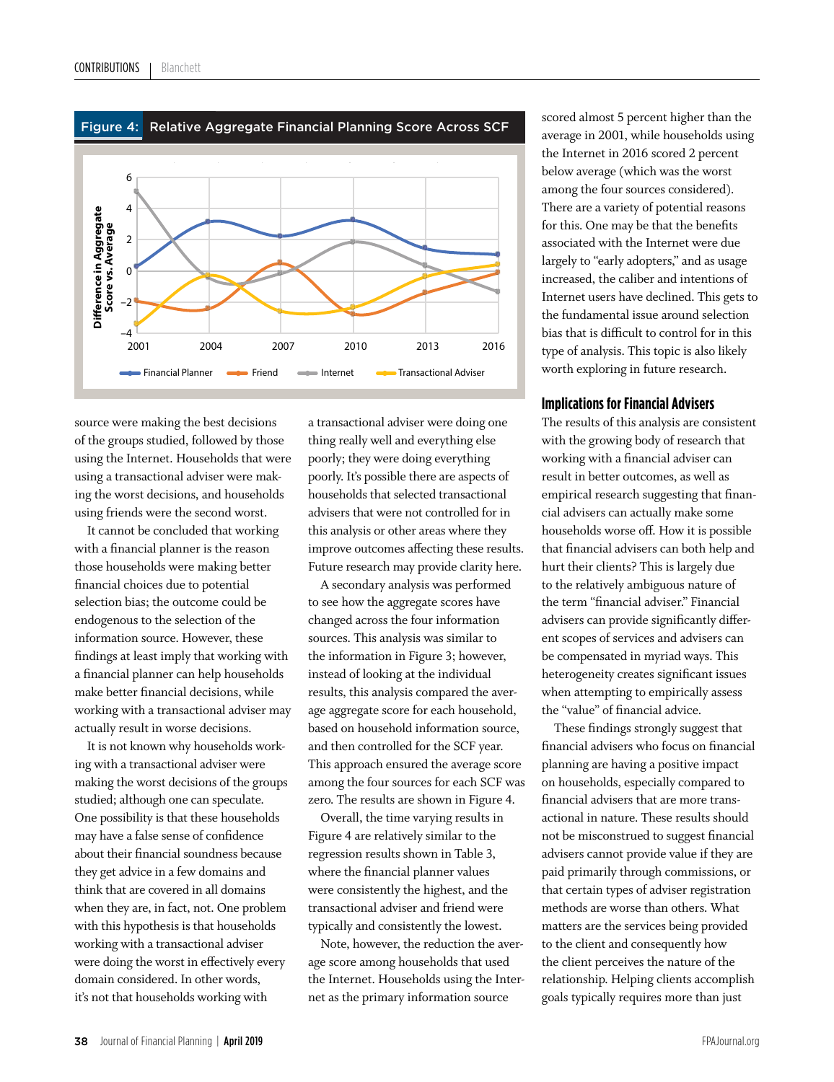

source were making the best decisions of the groups studied, followed by those using the Internet. Households that were using a transactional adviser were making the worst decisions, and households using friends were the second worst.

It cannot be concluded that working with a financial planner is the reason those households were making better financial choices due to potential selection bias; the outcome could be endogenous to the selection of the information source. However, these findings at least imply that working with a financial planner can help households make better financial decisions, while working with a transactional adviser may actually result in worse decisions.

It is not known why households working with a transactional adviser were making the worst decisions of the groups studied; although one can speculate. One possibility is that these households may have a false sense of confidence about their financial soundness because they get advice in a few domains and think that are covered in all domains when they are, in fact, not. One problem with this hypothesis is that households working with a transactional adviser were doing the worst in effectively every domain considered. In other words, it's not that households working with

a transactional adviser were doing one thing really well and everything else poorly; they were doing everything poorly. It's possible there are aspects of households that selected transactional advisers that were not controlled for in this analysis or other areas where they improve outcomes affecting these results. Future research may provide clarity here.

A secondary analysis was performed to see how the aggregate scores have changed across the four information sources. This analysis was similar to the information in Figure 3; however, instead of looking at the individual results, this analysis compared the average aggregate score for each household, based on household information source, and then controlled for the SCF year. This approach ensured the average score among the four sources for each SCF was zero. The results are shown in Figure 4.

Overall, the time varying results in Figure 4 are relatively similar to the regression results shown in Table 3, where the financial planner values were consistently the highest, and the transactional adviser and friend were typically and consistently the lowest.

Note, however, the reduction the average score among households that used the Internet. Households using the Internet as the primary information source

scored almost 5 percent higher than the average in 2001, while households using the Internet in 2016 scored 2 percent below average (which was the worst among the four sources considered). There are a variety of potential reasons for this. One may be that the benefits associated with the Internet were due largely to "early adopters," and as usage increased, the caliber and intentions of Internet users have declined. This gets to the fundamental issue around selection bias that is difficult to control for in this type of analysis. This topic is also likely worth exploring in future research.

### **Implications for Financial Advisers**

The results of this analysis are consistent with the growing body of research that working with a financial adviser can result in better outcomes, as well as empirical research suggesting that financial advisers can actually make some households worse off. How it is possible that financial advisers can both help and hurt their clients? This is largely due to the relatively ambiguous nature of the term "financial adviser." Financial advisers can provide significantly different scopes of services and advisers can be compensated in myriad ways. This heterogeneity creates significant issues when attempting to empirically assess the "value" of financial advice.

These findings strongly suggest that financial advisers who focus on financial planning are having a positive impact on households, especially compared to financial advisers that are more transactional in nature. These results should not be misconstrued to suggest financial advisers cannot provide value if they are paid primarily through commissions, or that certain types of adviser registration methods are worse than others. What matters are the services being provided to the client and consequently how the client perceives the nature of the relationship. Helping clients accomplish goals typically requires more than just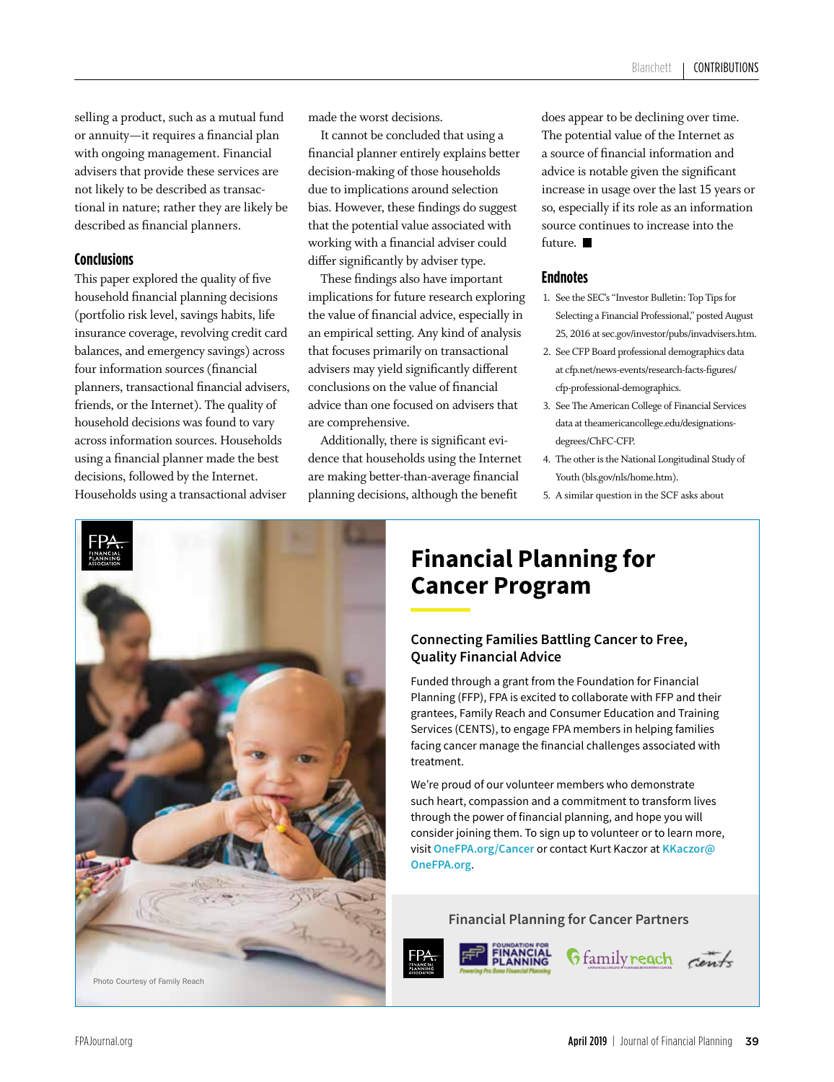selling a product, such as a mutual fund or annuity—it requires a financial plan with ongoing management. Financial advisers that provide these services are not likely to be described as transactional in nature; rather they are likely be described as financial planners.

### **Conclusions**

This paper explored the quality of five household financial planning decisions (portfolio risk level, savings habits, life insurance coverage, revolving credit card balances, and emergency savings) across four information sources (financial planners, transactional financial advisers, friends, or the Internet). The quality of household decisions was found to vary across information sources. Households using a financial planner made the best decisions, followed by the Internet. Households using a transactional adviser

made the worst decisions.

It cannot be concluded that using a financial planner entirely explains better decision-making of those households due to implications around selection bias. However, these findings do suggest that the potential value associated with working with a financial adviser could differ significantly by adviser type.

These findings also have important implications for future research exploring the value of financial advice, especially in an empirical setting. Any kind of analysis that focuses primarily on transactional advisers may yield significantly different conclusions on the value of financial advice than one focused on advisers that are comprehensive.

Additionally, there is significant evidence that households using the Internet are making better-than-average financial planning decisions, although the benefit

does appear to be declining over time. The potential value of the Internet as a source of financial information and advice is notable given the significant increase in usage over the last 15 years or so, especially if its role as an information source continues to increase into the future.

### **Endnotes**

- 1. See the SEC's "Investor Bulletin: Top Tips for Selecting a Financial Professional," posted August 25, 2016 at sec.gov/investor/pubs/invadvisers.htm.
- 2. See CFP Board professional demographics data at cfp.net/news-events/research-facts-figures/ cfp-professional-demographics.
- 3. See The American College of Financial Services data at theamericancollege.edu/designationsdegrees/ChFC-CFP.
- 4. The other is the National Longitudinal Study of Youth (bls.gov/nls/home.htm).
- 5. A similar question in the SCF asks about



## **Financial Planning for Cancer Program**

### **Connecting Families Battling Cancer to Free, Quality Financial Advice**

Funded through a grant from the Foundation for Financial Planning (FFP), FPA is excited to collaborate with FFP and their grantees, Family Reach and Consumer Education and Training Services (CENTS), to engage FPA members in helping families facing cancer manage the financial challenges associated with treatment.

We're proud of our volunteer members who demonstrate such heart, compassion and a commitment to transform lives through the power of financial planning, and hope you will consider joining them. To sign up to volunteer or to learn more, visit **OneFPA.org/Cancer** or contact Kurt Kaczor at **KKaczor@ OneFPA.org**.

**Financial Planning for Cancer Partners**